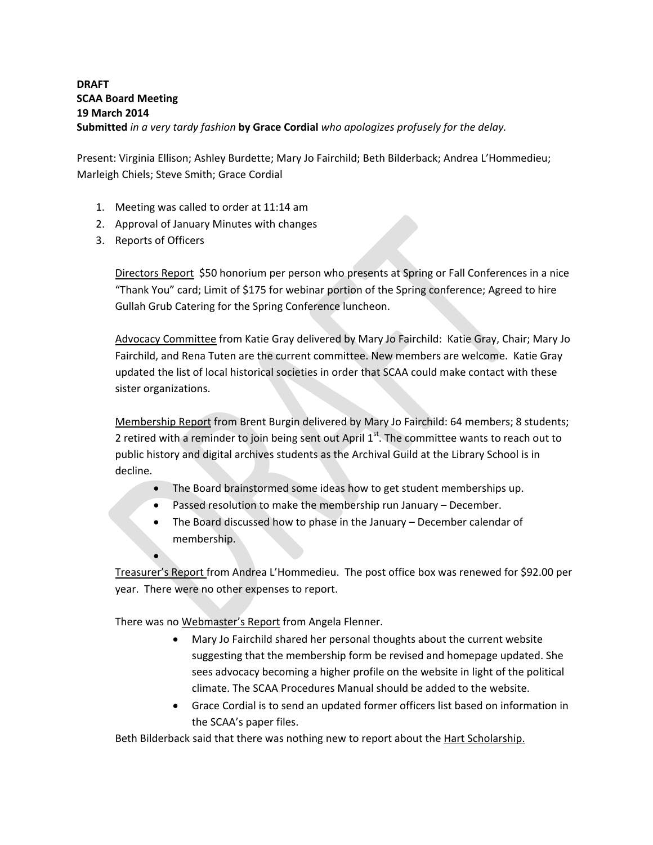## **DRAFT SCAA Board Meeting 19 March 2014 Submitted** *in a very tardy fashion* **by Grace Cordial** *who apologizes profusely for the delay.*

Present: Virginia Ellison; Ashley Burdette; Mary Jo Fairchild; Beth Bilderback; Andrea L'Hommedieu; Marleigh Chiels; Steve Smith; Grace Cordial

- 1. Meeting was called to order at 11:14 am
- 2. Approval of January Minutes with changes
- 3. Reports of Officers

 $\bullet$ 

Directors Report \$50 honorium per person who presents at Spring or Fall Conferences in a nice "Thank You" card; Limit of \$175 for webinar portion of the Spring conference; Agreed to hire Gullah Grub Catering for the Spring Conference luncheon.

Advocacy Committee from Katie Gray delivered by Mary Jo Fairchild: Katie Gray, Chair; Mary Jo Fairchild, and Rena Tuten are the current committee. New members are welcome. Katie Gray updated the list of local historical societies in order that SCAA could make contact with these sister organizations.

Membership Report from Brent Burgin delivered by Mary Jo Fairchild: 64 members; 8 students; 2 retired with a reminder to join being sent out April  $1<sup>st</sup>$ . The committee wants to reach out to public history and digital archives students as the Archival Guild at the Library School is in decline.

- The Board brainstormed some ideas how to get student memberships up.
- Passed resolution to make the membership run January December.
- The Board discussed how to phase in the January December calendar of membership.

Treasurer's Report from Andrea L'Hommedieu. The post office box was renewed for \$92.00 per year. There were no other expenses to report.

There was no Webmaster's Report from Angela Flenner.

- Mary Jo Fairchild shared her personal thoughts about the current website suggesting that the membership form be revised and homepage updated. She sees advocacy becoming a higher profile on the website in light of the political climate. The SCAA Procedures Manual should be added to the website.
- Grace Cordial is to send an updated former officers list based on information in the SCAA's paper files.

Beth Bilderback said that there was nothing new to report about the Hart Scholarship.